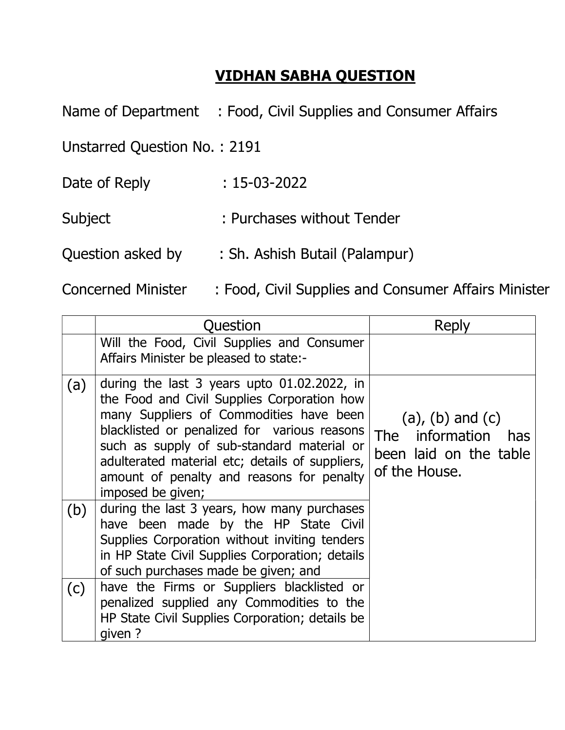## VIDHAN SABHA QUESTION

Name of Department : Food, Civil Supplies and Consumer Affairs

Unstarred Question No. : 2191

Date of Reply : 15-03-2022

Subject : Purchases without Tender

Question asked by : Sh. Ashish Butail (Palampur)

Concerned Minister : Food, Civil Supplies and Consumer Affairs Minister

|     | Question                                                                                                                                                                                                                                                                                                                                                    | Reply                                                                                        |
|-----|-------------------------------------------------------------------------------------------------------------------------------------------------------------------------------------------------------------------------------------------------------------------------------------------------------------------------------------------------------------|----------------------------------------------------------------------------------------------|
|     | Will the Food, Civil Supplies and Consumer<br>Affairs Minister be pleased to state:-                                                                                                                                                                                                                                                                        |                                                                                              |
| (a) | during the last 3 years upto $01.02.2022$ , in<br>the Food and Civil Supplies Corporation how<br>many Suppliers of Commodities have been<br>blacklisted or penalized for various reasons<br>such as supply of sub-standard material or<br>adulterated material etc; details of suppliers,<br>amount of penalty and reasons for penalty<br>imposed be given; | $(a)$ , $(b)$ and $(c)$<br>The information<br>has<br>been laid on the table<br>of the House. |
| (b) | during the last 3 years, how many purchases<br>have been made by the HP State Civil<br>Supplies Corporation without inviting tenders<br>in HP State Civil Supplies Corporation; details<br>of such purchases made be given; and                                                                                                                             |                                                                                              |
| (c) | have the Firms or Suppliers blacklisted or<br>penalized supplied any Commodities to the<br>HP State Civil Supplies Corporation; details be<br>qiven ?                                                                                                                                                                                                       |                                                                                              |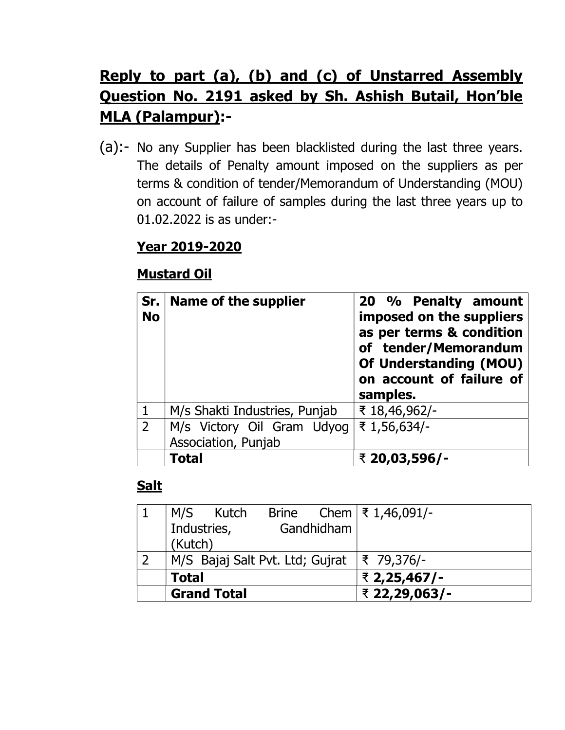# Reply to part (a), (b) and (c) of Unstarred Assembly Question No. 2191 asked by Sh. Ashish Butail, Hon'ble MLA (Palampur):-

(a):- No any Supplier has been blacklisted during the last three years. The details of Penalty amount imposed on the suppliers as per terms & condition of tender/Memorandum of Understanding (MOU) on account of failure of samples during the last three years up to 01.02.2022 is as under:-

### Year 2019-2020

#### Mustard Oil

| Sr.<br><b>No</b> | Name of the supplier                              | 20 % Penalty amount<br>imposed on the suppliers<br>as per terms & condition<br>of tender/Memorandum<br><b>Of Understanding (MOU)</b><br>on account of failure of<br>samples. |
|------------------|---------------------------------------------------|------------------------------------------------------------------------------------------------------------------------------------------------------------------------------|
|                  | M/s Shakti Industries, Punjab                     | ₹ 18,46,962/-                                                                                                                                                                |
| $\overline{2}$   | M/s Victory Oil Gram Udyog<br>Association, Punjab | ₹ 1,56,634/-                                                                                                                                                                 |
|                  | <b>Total</b>                                      | ₹ 20,03,596/-                                                                                                                                                                |

#### Salt

| M/S Kutch                                               |            | Brine Chem $\frac{3}{5}$ 1,46,091/- |
|---------------------------------------------------------|------------|-------------------------------------|
| Industries,<br>(Kutch)                                  | Gandhidham |                                     |
| M/S Bajaj Salt Pvt. Ltd; Gujrat $ \bar{\tau} $ 79,376/- |            |                                     |
| <b>Total</b>                                            |            | ₹ 2,25,467/-                        |
| <b>Grand Total</b>                                      |            | ₹ 22,29,063/-                       |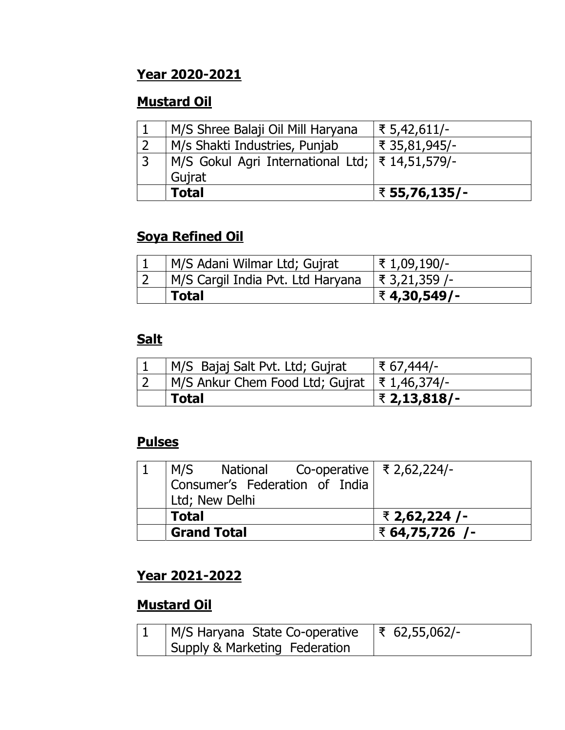### Year 2020-2021

### Mustard Oil

|   | <b>Total</b>                                      | ₹ 55,76,135/- |
|---|---------------------------------------------------|---------------|
|   | Gujrat                                            |               |
| 3 | M/S Gokul Agri International Ltd;   ₹ 14,51,579/- |               |
|   | M/s Shakti Industries, Punjab                     | ₹ 35,81,945/- |
|   | M/S Shree Balaji Oil Mill Haryana                 | ₹ 5,42,611/-  |

### Soya Refined Oil

| M/S Adani Wilmar Ltd; Gujrat      | ₹ 1,09,190/-    |
|-----------------------------------|-----------------|
| M/S Cargil India Pvt. Ltd Haryana | । ₹ 3,21,359 /- |
| <b>Total</b>                      | । ₹ 4,30,549/-  |

#### **Salt**

| M/S Bajaj Salt Pvt. Ltd; Gujrat                | ₹ 67,444/-   |
|------------------------------------------------|--------------|
| M/S Ankur Chem Food Ltd; Gujrat   ₹ 1,46,374/- |              |
| Total                                          | ₹ 2,13,818/- |

#### Pulses

| $\vert$ M/S National Co-operative $\vert$ ₹ 2,62,224/- |                |
|--------------------------------------------------------|----------------|
| Consumer's Federation of India                         |                |
| Ltd; New Delhi                                         |                |
| <b>Total</b>                                           | ₹ 2,62,224 /-  |
| <b>Grand Total</b>                                     | ₹ 64,75,726 /- |

### Year 2021-2022

### Mustard Oil

| M/S Haryana State Co-operative | $ \bar{\xi}$ 62,55,062/- |
|--------------------------------|--------------------------|
| Supply & Marketing Federation  |                          |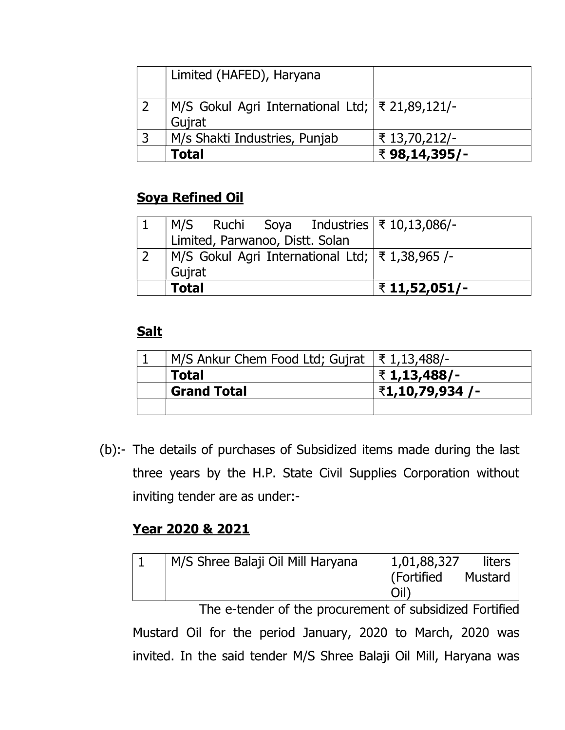| Limited (HAFED), Haryana                                    |               |
|-------------------------------------------------------------|---------------|
| M/S Gokul Agri International Ltd;   ₹ 21,89,121/-<br>Gujrat |               |
| M/s Shakti Industries, Punjab                               | ₹ 13,70,212/- |
| <b>Total</b>                                                | ₹98,14,395/-  |

### Soya Refined Oil

| <b>Total</b>                                      |                                 |  |  | ₹ 11,52,051/-                                             |  |
|---------------------------------------------------|---------------------------------|--|--|-----------------------------------------------------------|--|
| Gujrat                                            |                                 |  |  |                                                           |  |
| M/S Gokul Agri International Ltd;   ₹ 1,38,965 /- |                                 |  |  |                                                           |  |
|                                                   | Limited, Parwanoo, Distt. Solan |  |  |                                                           |  |
|                                                   |                                 |  |  | $ M/S$ Ruchi Soya Industries $\overline{\xi}$ 10,13,086/- |  |

### **Salt**

| M/S Ankur Chem Food Ltd; Gujrat  ₹1,13,488/- |                 |
|----------------------------------------------|-----------------|
| <b>Total</b>                                 | ₹1,13,488/-     |
| <b>Grand Total</b>                           | ₹1,10,79,934 /- |
|                                              |                 |

(b):- The details of purchases of Subsidized items made during the last three years by the H.P. State Civil Supplies Corporation without inviting tender are as under:-

### Year 2020 & 2021

| M/S Shree Balaji Oil Mill Haryana | 1,01,88,327<br>  (Fortified | liters<br><b>Mustard</b> |
|-----------------------------------|-----------------------------|--------------------------|
|                                   |                             |                          |

 The e-tender of the procurement of subsidized Fortified Mustard Oil for the period January, 2020 to March, 2020 was invited. In the said tender M/S Shree Balaji Oil Mill, Haryana was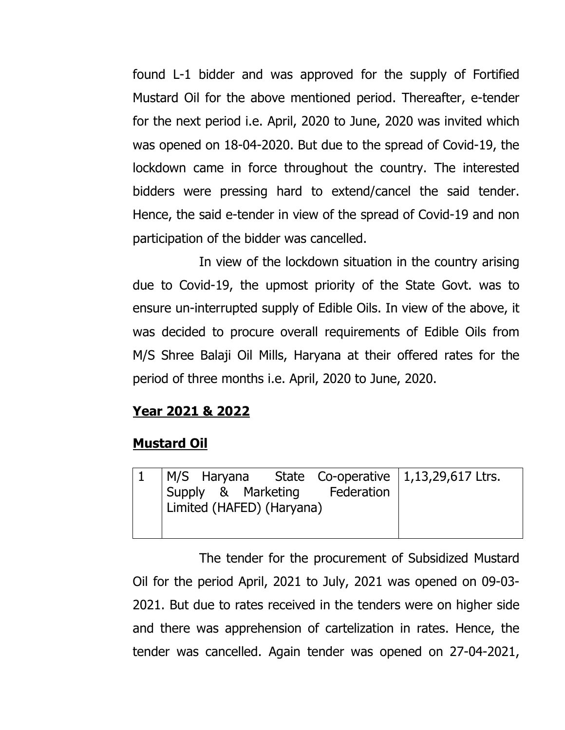found L-1 bidder and was approved for the supply of Fortified Mustard Oil for the above mentioned period. Thereafter, e-tender for the next period i.e. April, 2020 to June, 2020 was invited which was opened on 18-04-2020. But due to the spread of Covid-19, the lockdown came in force throughout the country. The interested bidders were pressing hard to extend/cancel the said tender. Hence, the said e-tender in view of the spread of Covid-19 and non participation of the bidder was cancelled.

In view of the lockdown situation in the country arising due to Covid-19, the upmost priority of the State Govt. was to ensure un-interrupted supply of Edible Oils. In view of the above, it was decided to procure overall requirements of Edible Oils from M/S Shree Balaji Oil Mills, Haryana at their offered rates for the period of three months i.e. April, 2020 to June, 2020.

#### Year 2021 & 2022

#### Mustard Oil

| 1   M/S Haryana State Co-operative   1,13,29,617 Ltrs.<br>Supply & Marketing Federation |  |
|-----------------------------------------------------------------------------------------|--|
| Limited (HAFED) (Haryana)                                                               |  |
|                                                                                         |  |

The tender for the procurement of Subsidized Mustard Oil for the period April, 2021 to July, 2021 was opened on 09-03- 2021. But due to rates received in the tenders were on higher side and there was apprehension of cartelization in rates. Hence, the tender was cancelled. Again tender was opened on 27-04-2021,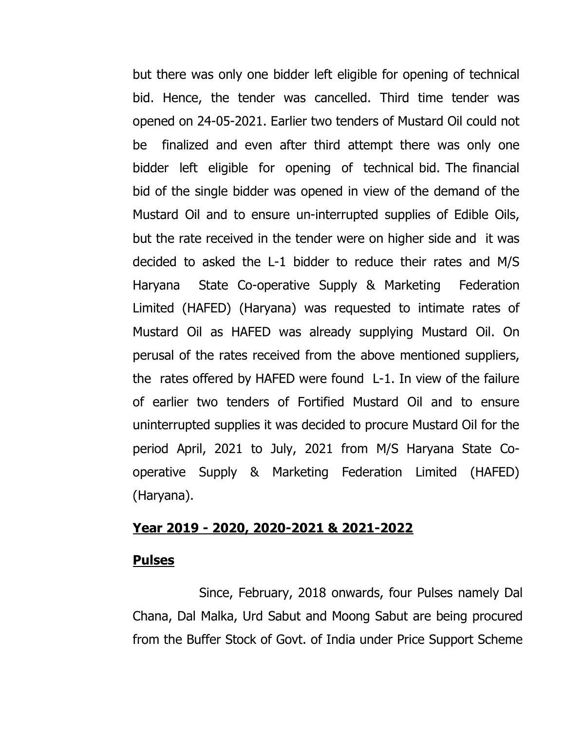but there was only one bidder left eligible for opening of technical bid. Hence, the tender was cancelled. Third time tender was opened on 24-05-2021. Earlier two tenders of Mustard Oil could not be finalized and even after third attempt there was only one bidder left eligible for opening of technical bid. The financial bid of the single bidder was opened in view of the demand of the Mustard Oil and to ensure un-interrupted supplies of Edible Oils, but the rate received in the tender were on higher side and it was decided to asked the L-1 bidder to reduce their rates and M/S Haryana State Co-operative Supply & Marketing Federation Limited (HAFED) (Haryana) was requested to intimate rates of Mustard Oil as HAFED was already supplying Mustard Oil. On perusal of the rates received from the above mentioned suppliers, the rates offered by HAFED were found L-1. In view of the failure of earlier two tenders of Fortified Mustard Oil and to ensure uninterrupted supplies it was decided to procure Mustard Oil for the period April, 2021 to July, 2021 from M/S Haryana State Cooperative Supply & Marketing Federation Limited (HAFED) (Haryana).

#### Year 2019 - 2020, 2020-2021 & 2021-2022

#### Pulses

 Since, February, 2018 onwards, four Pulses namely Dal Chana, Dal Malka, Urd Sabut and Moong Sabut are being procured from the Buffer Stock of Govt. of India under Price Support Scheme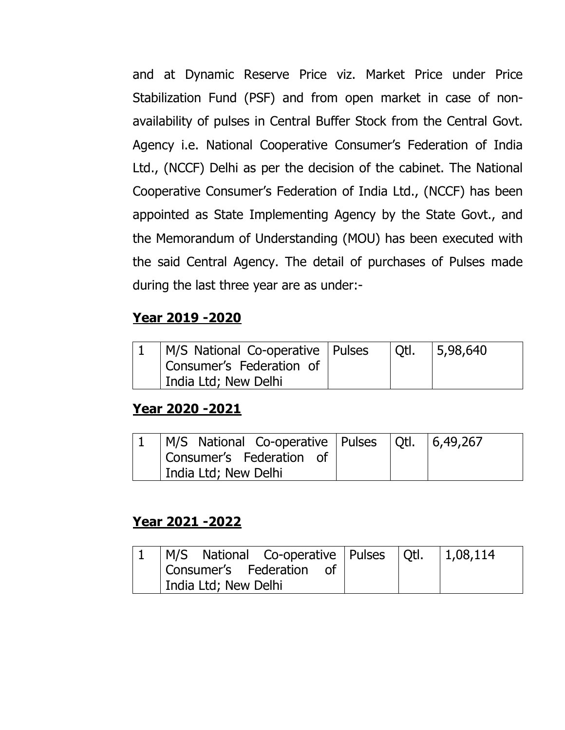and at Dynamic Reserve Price viz. Market Price under Price Stabilization Fund (PSF) and from open market in case of nonavailability of pulses in Central Buffer Stock from the Central Govt. Agency i.e. National Cooperative Consumer's Federation of India Ltd., (NCCF) Delhi as per the decision of the cabinet. The National Cooperative Consumer's Federation of India Ltd., (NCCF) has been appointed as State Implementing Agency by the State Govt., and the Memorandum of Understanding (MOU) has been executed with the said Central Agency. The detail of purchases of Pulses made during the last three year are as under:-

### Year 2019 -2020

| M/S National Co-operative   Pulses | l Otl. | 5,98,640 |
|------------------------------------|--------|----------|
| Consumer's Federation of           |        |          |
| India Ltd; New Delhi               |        |          |

#### Year 2020 -2021

| M/S National Co-operative   Pulses   Qtl.   6,49,267 |  |  |
|------------------------------------------------------|--|--|
| Consumer's Federation of                             |  |  |
| India Ltd; New Delhi                                 |  |  |

#### Year 2021 -2022

| $ M/S$ National Co-operative Pulses $ Qt $ . $ 1,08,114$ |  |  |
|----------------------------------------------------------|--|--|
| Consumer's Federation of                                 |  |  |
| India Ltd; New Delhi                                     |  |  |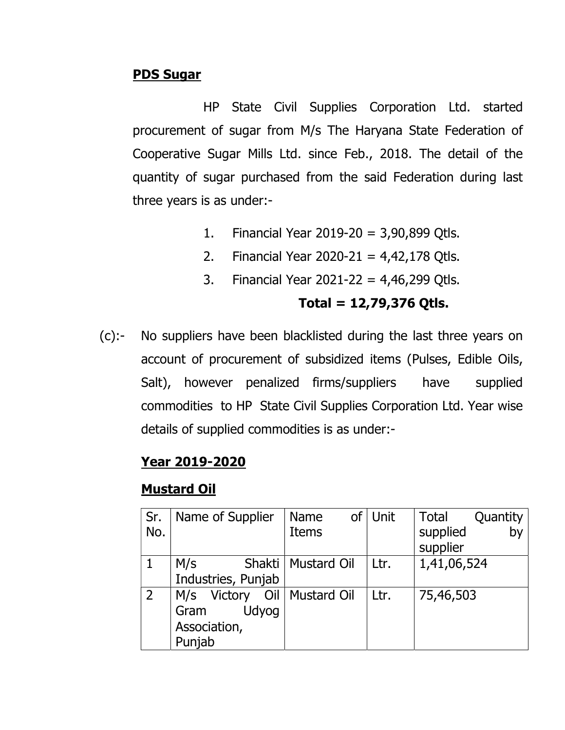#### PDS Sugar

HP State Civil Supplies Corporation Ltd. started procurement of sugar from M/s The Haryana State Federation of Cooperative Sugar Mills Ltd. since Feb., 2018. The detail of the quantity of sugar purchased from the said Federation during last three years is as under:-

- 1. Financial Year 2019-20 = 3,90,899 Qtls.
- 2. Financial Year 2020-21 =  $4,42,178$  Otls.
- 3. Financial Year 2021-22 = 4,46,299 Qtls.

#### Total =  $12,79,376$  Qtls.

(c):- No suppliers have been blacklisted during the last three years on account of procurement of subsidized items (Pulses, Edible Oils, Salt), however penalized firms/suppliers have supplied commodities to HP State Civil Supplies Corporation Ltd. Year wise details of supplied commodities is as under:-

#### Year 2019-2020

#### Mustard Oil

| Sr. | Name of Supplier   | Name                 | of Unit | Total<br>Quantity |
|-----|--------------------|----------------------|---------|-------------------|
| No. |                    | <b>Items</b>         |         | supplied<br>by    |
|     |                    |                      |         | supplier          |
|     | M/s                | Shakti   Mustard Oil | Ltr.    | 1,41,06,524       |
|     | Industries, Punjab |                      |         |                   |
| 2   | M/s Victory        | Oil   Mustard Oil    | Ltr.    | 75,46,503         |
|     | Udyog<br>Gram      |                      |         |                   |
|     | Association,       |                      |         |                   |
|     | Punjab             |                      |         |                   |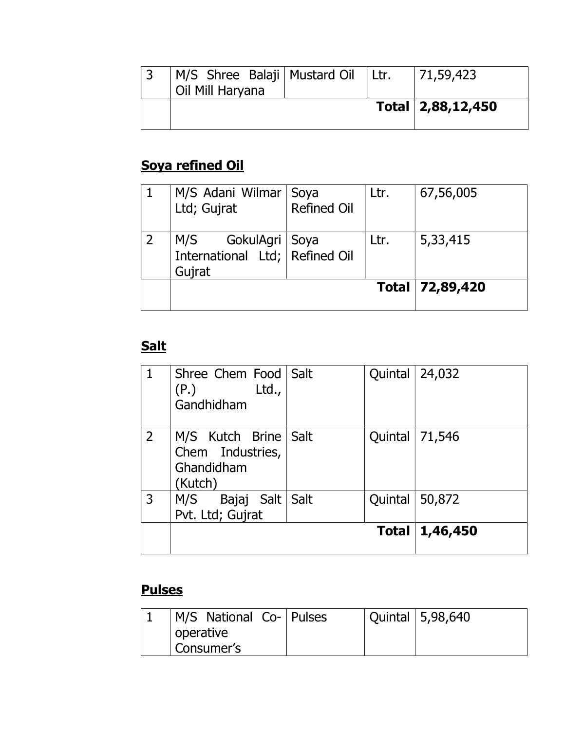| M/S Shree Balaji   Mustard Oil   Ltr.<br>Oil Mill Haryana |  | 71,59,423         |
|-----------------------------------------------------------|--|-------------------|
|                                                           |  | Total 2,88,12,450 |

# Soya refined Oil

| M/S Adani Wilmar<br>Ltd; Gujrat                                     | Soya<br><b>Refined Oil</b> | Ltr. | 67,56,005         |
|---------------------------------------------------------------------|----------------------------|------|-------------------|
| GokulAgri   Soya<br>M/S<br>International Ltd; Refined Oil<br>Gujrat |                            | Ltr. | 5,33,415          |
|                                                                     |                            |      | Total   72,89,420 |

# **Salt**

|                | Shree Chem Food   Salt<br>Ltd.,<br>(P.)<br>Gandhidham        |      | Quintal | 24,032           |
|----------------|--------------------------------------------------------------|------|---------|------------------|
| $\overline{2}$ | M/S Kutch Brine<br>Chem Industries,<br>Ghandidham<br>(Kutch) | Salt | Quintal | 71,546           |
| 3              | M/S<br>Bajaj Salt<br>Pvt. Ltd; Gujrat                        | Salt | Quintal | 50,872           |
|                |                                                              |      |         | Total   1,46,450 |

## **Pulses**

| M/S National Co-   Pulses |  | Quintal   5,98,640 |
|---------------------------|--|--------------------|
| operative                 |  |                    |
| Consumer's                |  |                    |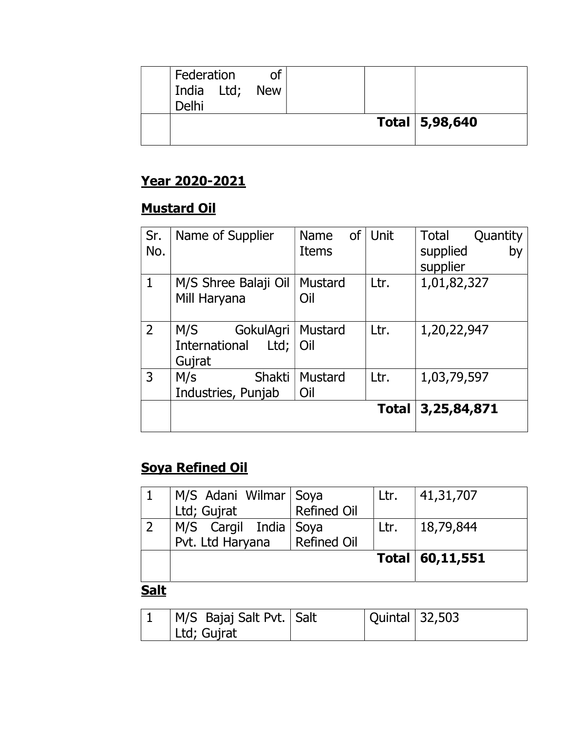| Federation<br>India Ltd; New<br>Delhi | 0f |  |                  |
|---------------------------------------|----|--|------------------|
|                                       |    |  | Total   5,98,640 |

### Year 2020-2021

# Mustard Oil

| Sr.<br>No.     | Name of Supplier                                    | Name<br><b>Items</b> | of   Unit    | Total<br>Quantity<br>supplied<br>by<br>supplier |
|----------------|-----------------------------------------------------|----------------------|--------------|-------------------------------------------------|
| $\mathbf{1}$   | M/S Shree Balaji Oil<br>Mill Haryana                | Mustard<br>Oil       | Ltr.         | 1,01,82,327                                     |
| $\overline{2}$ | M/S<br>GokulAgri<br>International<br>Ltd;<br>Gujrat | Mustard<br>Oil       | Ltr.         | 1,20,22,947                                     |
| 3              | Shakti<br>M/s<br>Industries, Punjab                 | Mustard<br>Oil       | Ltr.         | 1,03,79,597                                     |
|                |                                                     |                      | <b>Total</b> | 3,25,84,871                                     |

# Soya Refined Oil

| M/S Adani Wilmar Soya<br>Ltd; Gujrat        | Refined Oil | Ltr. | 41,31,707         |
|---------------------------------------------|-------------|------|-------------------|
| M/S Cargil India   Soya<br>Pvt. Ltd Haryana | Refined Oil | Ltr. | 18,79,844         |
|                                             |             |      | Total   60,11,551 |

#### **Salt**

| M/S Bajaj Salt Pvt.   Salt | <b>Quintal 32,503</b> |  |
|----------------------------|-----------------------|--|
| Ltd; Gujrat                |                       |  |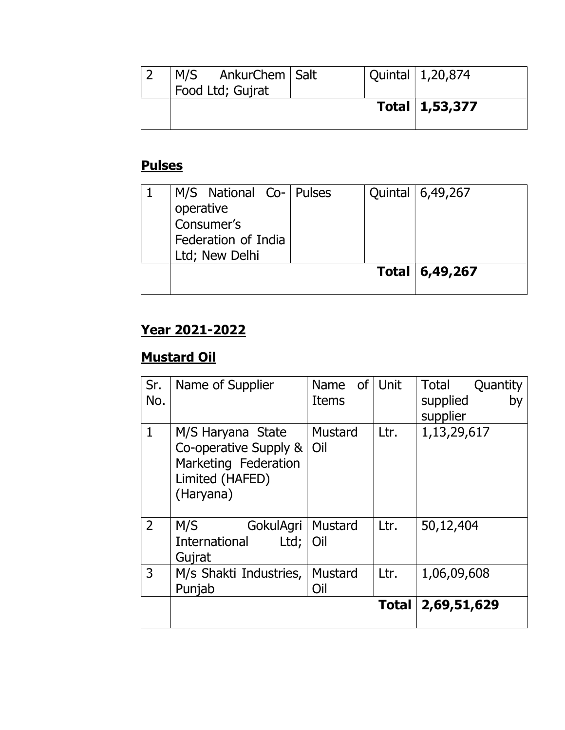| M/S AnkurChem   Salt<br>Food Ltd; Gujrat |  | Quintal $\vert$ 1,20,874 |
|------------------------------------------|--|--------------------------|
|                                          |  | Total   1,53,377         |

## **Pulses**

| M/S National Co- Pulses |  | Quintal   6,49,267 |
|-------------------------|--|--------------------|
| operative               |  |                    |
| Consumer's              |  |                    |
| Federation of India     |  |                    |
| Ltd; New Delhi          |  |                    |
|                         |  | Total   6,49,267   |
|                         |  |                    |

## Year 2021-2022

# Mustard Oil

| Sr.<br>No.     | Name of Supplier                                                                                   | of<br><b>Name</b><br><b>Items</b> | Unit         | Total<br>Quantity<br>supplied<br>by<br>supplier |
|----------------|----------------------------------------------------------------------------------------------------|-----------------------------------|--------------|-------------------------------------------------|
| $\mathbf{1}$   | M/S Haryana State<br>Co-operative Supply &<br>Marketing Federation<br>Limited (HAFED)<br>(Haryana) | <b>Mustard</b><br>Oil             | Ltr.         | 1,13,29,617                                     |
| $\overline{2}$ | M/S<br>GokulAgri<br>International<br>Ltd;<br>Gujrat                                                | Mustard<br>Oil                    | Ltr.         | 50,12,404                                       |
| 3              | M/s Shakti Industries,<br>Punjab                                                                   | Mustard<br>Oil                    | Ltr.         | 1,06,09,608                                     |
|                |                                                                                                    |                                   | <b>Total</b> | 2,69,51,629                                     |